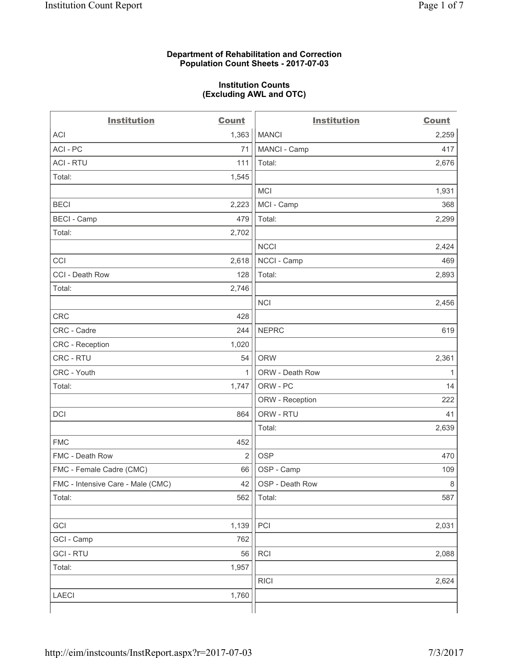## **Department of Rehabilitation and Correction Population Count Sheets - 2017-07-03**

#### **Institution Counts (Excluding AWL and OTC)**

 $-$ 

| <b>Institution</b>                | <b>Count</b>   | <b>Institution</b> | <b>Count</b> |
|-----------------------------------|----------------|--------------------|--------------|
| ACI                               | 1,363          | <b>MANCI</b>       | 2,259        |
| ACI-PC                            | 71             | MANCI - Camp       | 417          |
| <b>ACI - RTU</b>                  | 111            | Total:             | 2,676        |
| Total:                            | 1,545          |                    |              |
|                                   |                | MCI                | 1,931        |
| <b>BECI</b>                       | 2,223          | MCI - Camp         | 368          |
| <b>BECI</b> - Camp                | 479            | Total:             | 2,299        |
| Total:                            | 2,702          |                    |              |
|                                   |                | <b>NCCI</b>        | 2,424        |
| CCI                               | 2,618          | NCCI - Camp        | 469          |
| CCI - Death Row                   | 128            | Total:             | 2,893        |
| Total:                            | 2,746          |                    |              |
|                                   |                | <b>NCI</b>         | 2,456        |
| <b>CRC</b>                        | 428            |                    |              |
| CRC - Cadre                       | 244            | <b>NEPRC</b>       | 619          |
| CRC - Reception                   | 1,020          |                    |              |
| CRC - RTU                         | 54             | <b>ORW</b>         | 2,361        |
| CRC - Youth                       | 1              | ORW - Death Row    | 1            |
| Total:                            | 1,747          | ORW - PC           | 14           |
|                                   |                | ORW - Reception    | 222          |
| DCI                               | 864            | ORW - RTU          | 41           |
|                                   |                | Total:             | 2,639        |
| <b>FMC</b>                        | 452            |                    |              |
| FMC - Death Row                   | $\overline{2}$ | <b>OSP</b>         | 470          |
| FMC - Female Cadre (CMC)          | 66             | OSP - Camp         | 109          |
| FMC - Intensive Care - Male (CMC) | 42             | OSP - Death Row    | 8            |
| Total:                            | 562            | Total:             | 587          |
|                                   |                |                    |              |
| GCI                               | 1,139          | PCI                | 2,031        |
| GCI - Camp                        | 762            |                    |              |
| <b>GCI - RTU</b>                  | 56             | RCI                | 2,088        |
| Total:                            | 1,957          |                    |              |
|                                   |                | <b>RICI</b>        | 2,624        |
| LAECI                             | 1,760          |                    |              |
|                                   |                |                    |              |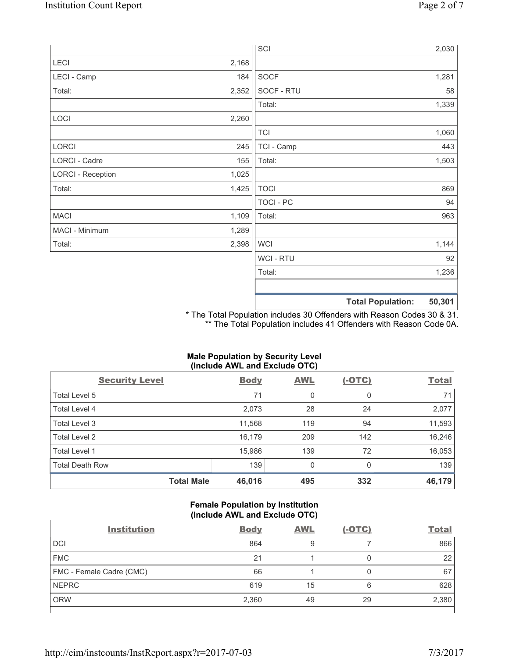|                          |       | SCI              |                          | 2,030  |
|--------------------------|-------|------------------|--------------------------|--------|
| LECI                     | 2,168 |                  |                          |        |
| LECI - Camp              | 184   | SOCF             |                          | 1,281  |
| Total:                   | 2,352 | SOCF - RTU       |                          | 58     |
|                          |       | Total:           |                          | 1,339  |
| LOCI                     | 2,260 |                  |                          |        |
|                          |       | <b>TCI</b>       |                          | 1,060  |
| LORCI                    | 245   | TCI - Camp       |                          | 443    |
| LORCI - Cadre            | 155   | Total:           |                          | 1,503  |
| <b>LORCI - Reception</b> | 1,025 |                  |                          |        |
| Total:                   | 1,425 | <b>TOCI</b>      |                          | 869    |
|                          |       | <b>TOCI - PC</b> |                          | 94     |
| <b>MACI</b>              | 1,109 | Total:           |                          | 963    |
| MACI - Minimum           | 1,289 |                  |                          |        |
| Total:                   | 2,398 | <b>WCI</b>       |                          | 1,144  |
|                          |       | <b>WCI-RTU</b>   |                          | 92     |
|                          |       | Total:           |                          | 1,236  |
|                          |       |                  |                          |        |
|                          |       |                  | <b>Total Population:</b> | 50,301 |

\* The Total Population includes 30 Offenders with Reason Codes 30 & 31. \*\* The Total Population includes 41 Offenders with Reason Code 0A.

## **Male Population by Security Level (Include AWL and Exclude OTC)**

| <b>Security Level</b>  |                   | <b>Body</b> | <b>AWL</b> | $(-OTC)$ | <b>Total</b> |
|------------------------|-------------------|-------------|------------|----------|--------------|
| Total Level 5          |                   | 71          | 0          | 0        | 71           |
| <b>Total Level 4</b>   |                   | 2,073       | 28         | 24       | 2,077        |
| Total Level 3          |                   | 11,568      | 119        | 94       | 11,593       |
| Total Level 2          |                   | 16,179      | 209        | 142      | 16,246       |
| Total Level 1          |                   | 15,986      | 139        | 72       | 16,053       |
| <b>Total Death Row</b> |                   | 139         | 0          |          | 139          |
|                        | <b>Total Male</b> | 46,016      | 495        | 332      | 46,179       |

## **Female Population by Institution (Include AWL and Exclude OTC)**

| <b>Institution</b>       | <b>Body</b> | <b>AWL</b> | <u>(-OTC)</u> | <b>Total</b> |
|--------------------------|-------------|------------|---------------|--------------|
| <b>DCI</b>               | 864         | 9          |               | 866          |
| <b>FMC</b>               | 21          |            | 0             | 22           |
| FMC - Female Cadre (CMC) | 66          |            | 0             | 67           |
| <b>NEPRC</b>             | 619         | 15         | 6             | 628          |
| <b>ORW</b>               | 2,360       | 49         | 29            | 2,380        |
|                          |             |            |               |              |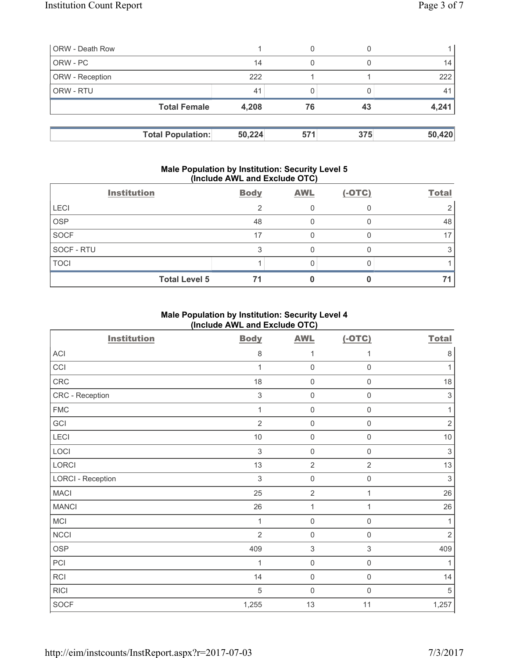| <b>ORW</b> - Death Row |                          |        |     |     |        |
|------------------------|--------------------------|--------|-----|-----|--------|
| ORW - PC               |                          | 14     | 0   |     | 14     |
| ORW - Reception        |                          | 222    |     |     | 222    |
| ORW - RTU              |                          | 41     |     |     | 41     |
|                        | <b>Total Female</b>      | 4,208  | 76  | 43  | 4,241  |
|                        |                          |        |     |     |        |
|                        | <b>Total Population:</b> | 50,224 | 571 | 375 | 50,420 |

#### **Male Population by Institution: Security Level 5 (Include AWL and Exclude OTC)**

|             | <b>Institution</b>   | <b>Body</b> | <b>AWL</b> | $(-OTC)$ | <b>Total</b>    |
|-------------|----------------------|-------------|------------|----------|-----------------|
| <b>LECI</b> |                      | റ           |            |          |                 |
| <b>OSP</b>  |                      | 48          |            |          | 48              |
| SOCF        |                      | 17          |            |          | 17 <sub>1</sub> |
| SOCF - RTU  |                      |             |            |          |                 |
| <b>TOCI</b> |                      |             |            |          |                 |
|             | <b>Total Level 5</b> | 71          |            |          | 71              |

# **Male Population by Institution: Security Level 4 (Include AWL and Exclude OTC)**

| <b>Institution</b>       | <b>Body</b>               | <b>AWL</b>          | $(-OTC)$            | <b>Total</b>              |
|--------------------------|---------------------------|---------------------|---------------------|---------------------------|
| ACI                      | 8                         | 1                   | 1                   | $\,8\,$                   |
| CCI                      | $\mathbf{1}$              | $\mathsf{O}\xspace$ | $\mathbf 0$         | 1                         |
| CRC                      | 18                        | $\mathsf{O}\xspace$ | $\mathsf 0$         | 18                        |
| CRC - Reception          | $\ensuremath{\mathsf{3}}$ | 0                   | $\mathsf{O}\xspace$ | $\ensuremath{\mathsf{3}}$ |
| <b>FMC</b>               | 1                         | $\mathsf{O}\xspace$ | $\mathsf{O}\xspace$ | 1                         |
| GCI                      | $\overline{2}$            | $\mathsf{O}\xspace$ | $\mathbf 0$         | $\overline{2}$            |
| LECI                     | $10$                      | 0                   | $\mathsf{O}\xspace$ | 10                        |
| LOCI                     | 3                         | 0                   | $\mathbf 0$         | $\mathfrak{S}$            |
| LORCI                    | 13                        | $\overline{2}$      | $\overline{2}$      | 13                        |
| <b>LORCI - Reception</b> | $\sqrt{3}$                | $\mathsf{O}\xspace$ | $\mathsf 0$         | $\mathfrak{Z}$            |
| <b>MACI</b>              | 25                        | $\overline{2}$      | 1                   | 26                        |
| <b>MANCI</b>             | 26                        | $\mathbf{1}$        | 1                   | 26                        |
| MCI                      | $\mathbf{1}$              | $\mathsf{O}\xspace$ | $\mathbf 0$         | 1                         |
| <b>NCCI</b>              | $\overline{2}$            | $\mathsf{O}\xspace$ | $\mathsf 0$         | $\overline{2}$            |
| <b>OSP</b>               | 409                       | $\mathsf 3$         | $\mathsf 3$         | 409                       |
| PCI                      | $\mathbf{1}$              | $\mathsf{O}\xspace$ | $\mathsf 0$         | 1                         |
| RCI                      | 14                        | 0                   | $\mathsf 0$         | 14                        |
| <b>RICI</b>              | $\sqrt{5}$                | $\mathsf{O}\xspace$ | $\mathsf 0$         | 5                         |
| <b>SOCF</b>              | 1,255                     | $13$                | 11                  | 1,257                     |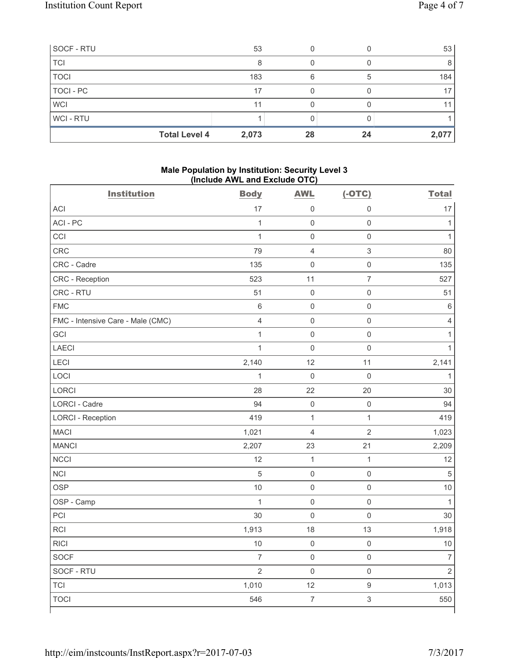| SOCF - RTU     | 53                            |    |    | 53              |
|----------------|-------------------------------|----|----|-----------------|
| <b>TCI</b>     |                               |    |    | 8               |
| <b>TOCI</b>    | 183                           | 6  | 5  | 184             |
| TOCI - PC      | 17                            |    |    | 17 <sub>1</sub> |
| <b>WCI</b>     | 11                            |    |    | 11 <sub>1</sub> |
| <b>WCI-RTU</b> |                               |    |    |                 |
|                | <b>Total Level 4</b><br>2,073 | 28 | 24 | 2,077           |

#### **Male Population by Institution: Security Level 3 (Include AWL and Exclude OTC)**

| <b>Institution</b>                | <b>Body</b>    | <b>AWL</b>          | $(-OTC)$            | <b>Total</b>   |
|-----------------------------------|----------------|---------------------|---------------------|----------------|
| <b>ACI</b>                        | 17             | 0                   | 0                   | 17             |
| ACI-PC                            | $\mathbf{1}$   | $\mathsf{O}\xspace$ | $\mathsf{O}\xspace$ | $\mathbf{1}$   |
| CCI                               | $\mathbf{1}$   | $\mathsf{O}\xspace$ | $\mathsf{O}\xspace$ | $\mathbf{1}$   |
| CRC                               | 79             | $\overline{4}$      | 3                   | 80             |
| CRC - Cadre                       | 135            | $\mathsf{O}\xspace$ | $\mathsf{O}\xspace$ | 135            |
| CRC - Reception                   | 523            | 11                  | $\overline{7}$      | 527            |
| CRC - RTU                         | 51             | $\mathbf 0$         | $\mathsf 0$         | 51             |
| <b>FMC</b>                        | $\,6\,$        | $\mathbf 0$         | $\mathsf{O}\xspace$ | $\,$ 6 $\,$    |
| FMC - Intensive Care - Male (CMC) | $\overline{4}$ | $\mathsf{O}\xspace$ | $\mathsf{O}\xspace$ | $\overline{4}$ |
| GCI                               | $\mathbf{1}$   | $\mathsf 0$         | $\mathsf{O}\xspace$ | $\mathbf{1}$   |
| <b>LAECI</b>                      | $\mathbf{1}$   | $\mathbf 0$         | $\mathsf{O}\xspace$ | $\mathbf{1}$   |
| LECI                              | 2,140          | 12                  | 11                  | 2,141          |
| LOCI                              | $\mathbf{1}$   | $\mathbf 0$         | $\mathsf{O}\xspace$ | $\mathbf{1}$   |
| LORCI                             | 28             | 22                  | 20                  | 30             |
| <b>LORCI - Cadre</b>              | 94             | $\mathbf 0$         | $\mathsf{O}\xspace$ | 94             |
| <b>LORCI - Reception</b>          | 419            | $\mathbf{1}$        | $\mathbf{1}$        | 419            |
| <b>MACI</b>                       | 1,021          | 4                   | $\sqrt{2}$          | 1,023          |
| <b>MANCI</b>                      | 2,207          | 23                  | 21                  | 2,209          |
| <b>NCCI</b>                       | 12             | $\mathbf 1$         | $\mathbf{1}$        | 12             |
| <b>NCI</b>                        | $\overline{5}$ | $\mathsf{O}\xspace$ | $\mathsf{O}\xspace$ | $\sqrt{5}$     |
| <b>OSP</b>                        | $10$           | $\mathbf 0$         | $\mathsf{O}\xspace$ | 10             |
| OSP - Camp                        | $\mathbf{1}$   | $\mathsf 0$         | $\mathsf{O}\xspace$ | $\mathbf{1}$   |
| PCI                               | 30             | $\mathbf 0$         | $\mathsf{O}\xspace$ | 30             |
| RCI                               | 1,913          | 18                  | 13                  | 1,918          |
| <b>RICI</b>                       | 10             | $\mathsf 0$         | $\mathsf{O}\xspace$ | 10             |
| <b>SOCF</b>                       | $\overline{7}$ | $\mathsf 0$         | $\mathsf{O}\xspace$ | $\overline{7}$ |
| SOCF - RTU                        | $\overline{2}$ | $\mathsf{O}\xspace$ | $\mathsf{O}\xspace$ | $\overline{2}$ |
| <b>TCI</b>                        | 1,010          | 12                  | $\mathsf g$         | 1,013          |
| <b>TOCI</b>                       | 546            | $\boldsymbol{7}$    | $\mathsf 3$         | 550            |
|                                   |                |                     |                     |                |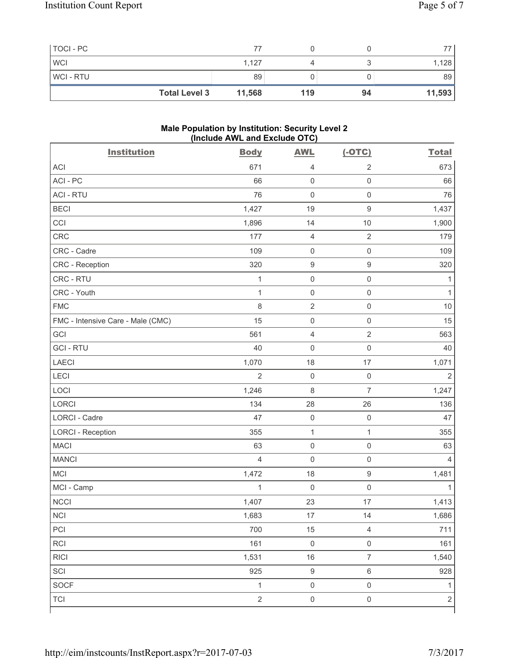| TOCI - PC  |                      |        |     |    |        |
|------------|----------------------|--------|-----|----|--------|
| <b>WCI</b> |                      | 1,127  |     |    | 1,128  |
| WCI - RTU  |                      | 89     |     |    | 89     |
|            | <b>Total Level 3</b> | 11,568 | 119 | 94 | 11,593 |

#### **Male Population by Institution: Security Level 2 (Include AWL and Exclude OTC)**

| <b>Institution</b>                | <b>Body</b>    | <b>AWL</b>          | $(-OTC)$            | <b>Total</b>   |
|-----------------------------------|----------------|---------------------|---------------------|----------------|
| <b>ACI</b>                        | 671            | 4                   | $\overline{2}$      | 673            |
| ACI - PC                          | 66             | $\mathsf{O}\xspace$ | $\mathsf{O}\xspace$ | 66             |
| <b>ACI - RTU</b>                  | 76             | $\mathsf{O}\xspace$ | $\mathsf{O}\xspace$ | 76             |
| <b>BECI</b>                       | 1,427          | 19                  | $\mathsf g$         | 1,437          |
| CCI                               | 1,896          | 14                  | 10                  | 1,900          |
| CRC                               | 177            | $\overline{4}$      | $\overline{2}$      | 179            |
| CRC - Cadre                       | 109            | $\mathsf 0$         | $\mathsf{O}\xspace$ | 109            |
| CRC - Reception                   | 320            | $\boldsymbol{9}$    | $\boldsymbol{9}$    | 320            |
| CRC - RTU                         | 1              | $\mathsf 0$         | $\mathsf{O}\xspace$ | 1              |
| CRC - Youth                       | $\mathbf{1}$   | $\mathsf 0$         | $\mathsf{O}\xspace$ | 1              |
| <b>FMC</b>                        | 8              | $\sqrt{2}$          | $\mathsf 0$         | 10             |
| FMC - Intensive Care - Male (CMC) | 15             | $\mathsf 0$         | $\mathsf{O}\xspace$ | 15             |
| GCI                               | 561            | $\overline{4}$      | $\sqrt{2}$          | 563            |
| <b>GCI-RTU</b>                    | 40             | $\mathsf 0$         | $\mathsf{O}\xspace$ | 40             |
| <b>LAECI</b>                      | 1,070          | 18                  | 17                  | 1,071          |
| LECI                              | $\overline{2}$ | $\mathsf 0$         | $\mathbf 0$         | $\overline{2}$ |
| LOCI                              | 1,246          | $\,8\,$             | $\overline{7}$      | 1,247          |
| <b>LORCI</b>                      | 134            | 28                  | 26                  | 136            |
| LORCI - Cadre                     | 47             | $\mathsf 0$         | $\mathbf 0$         | 47             |
| <b>LORCI - Reception</b>          | 355            | $\mathbf{1}$        | $\mathbf 1$         | 355            |
| <b>MACI</b>                       | 63             | $\mathsf 0$         | $\mathsf{O}\xspace$ | 63             |
| <b>MANCI</b>                      | $\overline{4}$ | $\mathsf{O}\xspace$ | $\mathsf{O}\xspace$ | 4              |
| MCI                               | 1,472          | 18                  | $\boldsymbol{9}$    | 1,481          |
| MCI - Camp                        | $\mathbf{1}$   | $\mathbf 0$         | $\mathsf{O}\xspace$ | 1              |
| <b>NCCI</b>                       | 1,407          | 23                  | 17                  | 1,413          |
| $\sf NCI$                         | 1,683          | $17\,$              | 14                  | 1,686          |
| PCI                               | 700            | 15                  | $\overline{4}$      | 711            |
| RCI                               | 161            | $\mathsf 0$         | $\mathsf{O}\xspace$ | 161            |
| <b>RICI</b>                       | 1,531          | 16                  | $\overline{7}$      | 1,540          |
| SCI                               | 925            | $\boldsymbol{9}$    | $\,6\,$             | 928            |
| SOCF                              | $\mathbf{1}$   | $\mathsf{O}\xspace$ | $\mathbf 0$         | $\mathbf{1}$   |
| TCI                               | $\overline{2}$ | $\mathsf{O}\xspace$ | $\mathsf{O}\xspace$ | $\overline{2}$ |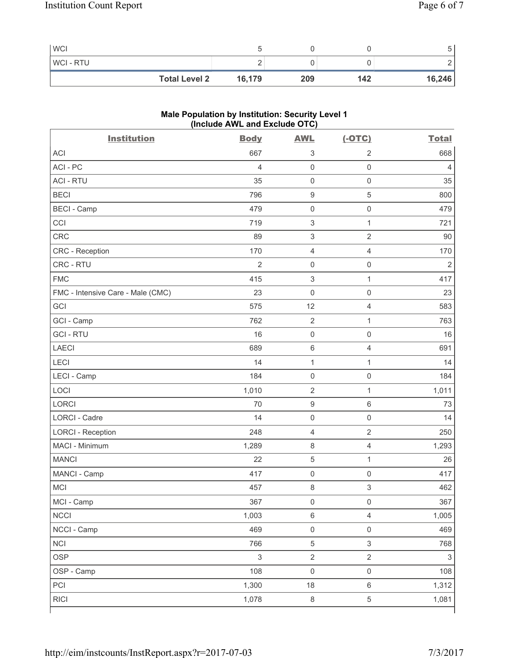| <b>WCI</b>           |        |     |     |        |
|----------------------|--------|-----|-----|--------|
| <b>WCI-RTU</b>       |        |     |     |        |
| <b>Total Level 2</b> | 16,179 | 209 | 142 | 16,246 |

# **Male Population by Institution: Security Level 1 (Include AWL and Exclude OTC)**

| <b>Institution</b>                | <b>Body</b>    | <b>AWL</b>                | $(-OTC)$                  | <b>Total</b>   |
|-----------------------------------|----------------|---------------------------|---------------------------|----------------|
| <b>ACI</b>                        | 667            | $\sqrt{3}$                | $\overline{2}$            | 668            |
| ACI-PC                            | $\overline{4}$ | $\mathbf 0$               | $\mathsf{O}\xspace$       | 4              |
| <b>ACI - RTU</b>                  | 35             | $\mathbf 0$               | $\mathsf{O}\xspace$       | 35             |
| <b>BECI</b>                       | 796            | $\boldsymbol{9}$          | $\sqrt{5}$                | 800            |
| <b>BECI - Camp</b>                | 479            | $\mathsf 0$               | $\mathbf 0$               | 479            |
| CCI                               | 719            | $\sqrt{3}$                | $\mathbf{1}$              | 721            |
| CRC                               | 89             | $\ensuremath{\mathsf{3}}$ | $\overline{2}$            | 90             |
| CRC - Reception                   | 170            | $\overline{4}$            | $\overline{4}$            | 170            |
| CRC - RTU                         | $\overline{2}$ | $\mathbf 0$               | $\mathsf{O}\xspace$       | $\overline{2}$ |
| <b>FMC</b>                        | 415            | $\sqrt{3}$                | $\mathbf{1}$              | 417            |
| FMC - Intensive Care - Male (CMC) | 23             | $\mathsf{O}\xspace$       | $\mathsf 0$               | 23             |
| GCI                               | 575            | 12                        | 4                         | 583            |
| GCI - Camp                        | 762            | $\sqrt{2}$                | 1                         | 763            |
| <b>GCI-RTU</b>                    | 16             | $\mathsf{O}\xspace$       | $\mathsf 0$               | 16             |
| <b>LAECI</b>                      | 689            | $\,6\,$                   | $\overline{4}$            | 691            |
| LECI                              | 14             | $\mathbf{1}$              | 1                         | 14             |
| LECI - Camp                       | 184            | $\mathsf{O}\xspace$       | $\mathsf{O}\xspace$       | 184            |
| LOCI                              | 1,010          | $\sqrt{2}$                | $\mathbf{1}$              | 1,011          |
| <b>LORCI</b>                      | 70             | $\boldsymbol{9}$          | $6\,$                     | 73             |
| LORCI - Cadre                     | 14             | $\mathsf{O}\xspace$       | $\mathsf 0$               | 14             |
| <b>LORCI - Reception</b>          | 248            | $\overline{4}$            | $\overline{2}$            | 250            |
| MACI - Minimum                    | 1,289          | $\,8\,$                   | 4                         | 1,293          |
| <b>MANCI</b>                      | 22             | $\,$ 5 $\,$               | $\mathbf{1}$              | 26             |
| MANCI - Camp                      | 417            | $\mathsf{O}\xspace$       | $\mathbf 0$               | 417            |
| MCI                               | 457            | $\,8\,$                   | $\ensuremath{\mathsf{3}}$ | 462            |
| MCI - Camp                        | 367            | $\mathsf 0$               | $\mathsf{O}\xspace$       | 367            |
| <b>NCCI</b>                       | 1,003          | $\,6\,$                   | $\overline{4}$            | 1,005          |
| NCCI - Camp                       | 469            | $\mathsf{O}\xspace$       | $\mathsf 0$               | 469            |
| <b>NCI</b>                        | 766            | $\,$ 5 $\,$               | $\ensuremath{\mathsf{3}}$ | 768            |
| <b>OSP</b>                        | $\mathfrak{S}$ | $\sqrt{2}$                | $\overline{2}$            | $\mathsf 3$    |
| OSP - Camp                        | 108            | $\mathsf{O}\xspace$       | $\mathsf 0$               | 108            |
| PCI                               | 1,300          | 18                        | $\,6\,$                   | 1,312          |
| <b>RICI</b>                       | 1,078          | $\,8\,$                   | $\sqrt{5}$                | 1,081          |